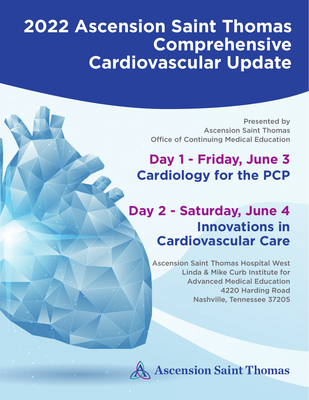# **2022 Ascension Saint Thomas Comprehensive Cardiovascular Update**

Presented by Ascension Saint Thomas Office of Continuing Medical Education

# **Day 1 - Friday, June 3 Cardiology for the PCP**

# **Day 2 - Saturday, June 4 Innovations in Cardiovascular Care**

Ascension Saint Thomas Hospital West Linda & Mike Curb Institute for Advanced Medical Education 4220 Harding Road Nashville, Tennessee 37205



**Ascension Saint Thomas**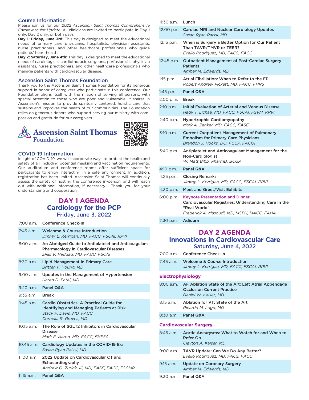#### Course Information

Please join us for our *2022 Ascension Saint Thomas Comprehensive Cardiovascular Update*. All clinicians are invited to participate in Day 1 only, Day 2 only, or both days.

**Day 1: Friday, June 3rd:** This day is designed to meet the educational needs of primary care physicians, hospitalists, physician assistants, nurse practitioners, and other healthcare professionals who guide patients' heart health.

**Day 2: Saturday, June 4th:** This day is designed to meet the educational needs of cardiologists, cardiothoracic surgeons, perfusionists, physician assistants, nurse practitioners, and other healthcare professionals who manage patients with cardiovascular disease.

#### Ascension Saint Thomas Foundation

Thank you to the Ascension Saint Thomas Foundation for its generous support in honor of caregivers who participate in this conference. Our Foundation aligns itself with the mission of serving all persons, with special attention to those who are poor and vulnerable. It shares in Ascension's mission to provide spiritually centered, holistic care that sustains and improves the health of our communities. The Foundation relies on generous donors who support serving our ministry with compassion and gratitude for our caregivers.



# COVID-19 Information

In light of COVID-19, we will incorporate ways to protect the health and safety of all, including potential masking and vaccination requirements. Our auditorium and conference rooms offer sufficient space for participants to enjoy interacting in a safe environment. In addition, registration has been limited. Ascension Saint Thomas will continually assess the safety of hosting the conference in-person, and will reach out with additional information, if necessary. Thank you for your understanding and cooperation.

# **DAY 1 AGENDA Cardiology for the PCP** Friday, June 3, 2022

|              | 7:00 a.m. Conference Check-In                                                                                                                      |  |
|--------------|----------------------------------------------------------------------------------------------------------------------------------------------------|--|
| $7:45$ a.m.  | <b>Welcome &amp; Course Introduction</b><br>Jimmy L. Kerrigan, MD, FACC, FSCAI, RPVI                                                               |  |
| $8:00$ a.m.  | An Abridged Guide to Antiplatelet and Anticoagulant<br>Pharmacology in Cardiovascular Diseases<br>Elias V. Haddad, MD, FACC, FSCAI                 |  |
| $8:30$ a.m.  | <b>Lipid Management in Primary Care</b><br>Britten F. Young, MD                                                                                    |  |
| $9:00$ a.m.  | Updates in the Management of Hypertension<br>Haren D. Patel, MD                                                                                    |  |
| $9:20$ a.m.  | Panel Q&A                                                                                                                                          |  |
| $9:35$ a.m.  | <b>Break</b>                                                                                                                                       |  |
| $9:45$ a.m.  | Cardio Obstetrics: A Practical Guide for<br><b>Identifying and Managing Patients at Risk</b><br>Stacy F. Davis, MD, FACC<br>Cornelia R. Graves, MD |  |
| $10:15$ a.m. | The Role of SGLT2 Inhibitors in Cardiovascular<br><b>Disease</b><br>Mark F. Aaron, MD, FACC, FHFSA                                                 |  |
| 10:45 a.m.   | Cardiology Updates in the COVID-19 Era<br>Sasan Ryan Raissi, MD                                                                                    |  |
| 11:00 a.m.   | 2022 Update on Cardiovascular CT and<br>Echocardiography<br>Andrew O. Zurick, III, MD, FASE, FACC, FSCMR                                           |  |
| $11:15$ a.m. | Panel Q&A                                                                                                                                          |  |

| 11:30 a.m.  | Lunch                                                                                                                                                        |
|-------------|--------------------------------------------------------------------------------------------------------------------------------------------------------------|
|             | 12:00 p.m. Cardiac MRI and Nuclear Cardiology Updates<br>Sasan Ryan Raissi, MD                                                                               |
| 12:15 p.m.  | When is Surgery a Better Option for Our Patient<br>Than TAVR/TMVR or TEER?<br>Evelio Rodriguez, MD, FACS, FACC                                               |
| 12:45 p.m.  | <b>Outpatient Management of Post-Cardiac Surgery</b><br><b>Patients</b><br>Amber M. Edwards, MD                                                              |
| $1:15$ p.m. | Atrial Fibrillation: When to Refer to the EP<br>Robert Andrew Pickett, MD, FACC, FHRS                                                                        |
| $1:45$ p.m. | Panel Q&A                                                                                                                                                    |
| 2:00 p.m.   | <b>Break</b>                                                                                                                                                 |
| $2:10$ p.m. | Initial Evaluation of Arterial and Venous Disease<br>Hady T. Lichaa, MD, FACC, FSCAI, FSVM, RPVI                                                             |
| 2:40 p.m.   | <b>Hypertrophic Cardiomyopathy</b><br>Mark A. Zenker, MD, FACC, FASE                                                                                         |
| 3:10 p.m.   | <b>Current Outpatient Management of Pulmonary</b><br><b>Embolism for Primary Care Physicians</b><br>Brandon J. Hooks, DO, FCCP, FACOI                        |
| 3:40 p.m.   | Antiplatelet and Anticoagulant Management for the<br>Non-Cardiologist<br>W. Matt Bibb. PharmD. BCGP                                                          |
| 4:10 p.m.   | Panel Q&A                                                                                                                                                    |
| 4:25 p.m.   | <b>Closing Remarks</b><br>Jimmy L. Kerrigan, MD, FACC, FSCAI, RPVI                                                                                           |
| 4:30 p.m.   | Meet and Greet/Visit Exhibits                                                                                                                                |
| 6:00 p.m.   | <b>Keynote Presentation and Dinner</b><br>Cardiovascular Registries: Understanding Care in the<br>"Real World"<br>Frederick A. Masoudi, MD, MSPH, MACC, FAHA |
| 7:30 p.m.   | Adjourn                                                                                                                                                      |

# **DAY 2 AGENDA Innovations in Cardiovascular Care** Saturday, June 4, 2022

|           | 7:00 a.m. Conference Check-In                                             |
|-----------|---------------------------------------------------------------------------|
| 7:45 a.m. | Welcome & Course Introduction<br>Jimmy L. Kerrigan, MD, FACC, FSCAI, RPVI |

# **Electrophysiology**

| $8:00$ a.m.                   | AF Ablation State of the Art: Left Atrial Appendage<br><b>Occlusion Current Practice</b><br>Daniel W. Kaiser, MD |  |
|-------------------------------|------------------------------------------------------------------------------------------------------------------|--|
| $8:15$ a.m.                   | Ablation for VT: State of the Art<br>Ricardo M. Lugo, MD                                                         |  |
|                               | 8:30 a.m. Panel Q&A                                                                                              |  |
| <b>Cardiovascular Surgery</b> |                                                                                                                  |  |
| 8:45 a.m.                     | Aortic Aneurysms: What to Watch for and When to<br>Refer On<br>Clayton A. Kaiser, MD                             |  |
| 9:00 a.m.                     | TAVR Update: Can We Do Any Better?<br>Evelio Rodriguez, MD, FACS, FACC                                           |  |
| $9:15$ a.m.                   | <b>Update on Coronary Surgery</b><br>Amber M. Edwards, MD                                                        |  |
| 9:30 a.m.                     | Panel Q&A                                                                                                        |  |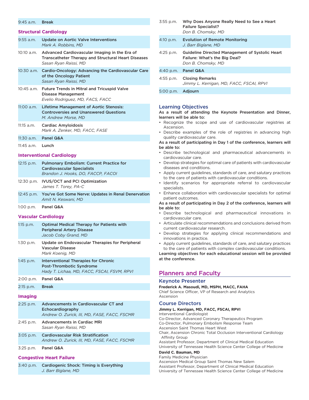#### 9:45 a.m. Break

#### **Structural Cardiology**

| $9:55$ a.m.                      | <b>Update on Aortic Valve Interventions</b><br>Mark A. Robbins, MD                                                                   |  |
|----------------------------------|--------------------------------------------------------------------------------------------------------------------------------------|--|
| 10:10 a.m.                       | Advanced Cardiovascular Imaging in the Era of<br><b>Transcatheter Therapy and Structural Heart Diseases</b><br>Sasan Ryan Raissi, MD |  |
| 10:30 a.m.                       | Cardio-Oncology: Advancing the Cardiovascular Care<br>of the Oncology Patient<br>Sasan Ryan Raissi, MD                               |  |
| 10:45 a.m.                       | <b>Future Trends in Mitral and Tricuspid Valve</b><br><b>Disease Management</b><br>Evelio Rodriguez, MD, FACS, FACC                  |  |
| $11:00$ a.m.                     | <b>Lifetime Management of Aortic Stenosis:</b><br><b>Controversies and Unanswered Questions</b><br>M. Andrew Morse, MD               |  |
| 11:15 a.m.                       | Cardiac Amyloidosis<br>Mark A. Zenker, MD, FACC, FASE                                                                                |  |
| 11:30 a.m.                       | Panel Q&A                                                                                                                            |  |
| $11:45$ a.m.                     | Lunch                                                                                                                                |  |
| <b>Interventional Cardiology</b> |                                                                                                                                      |  |
| 12:15 p.m.                       | <b>Pulmonary Embolism: Current Practice for</b><br><b>Cardiovascular Specialists</b><br>Brandon J. Hooks, DO, FACCP, FACOI           |  |
| 12:30 p.m.                       | <b>IVUS/OCT and PCI Optimization</b><br>James T. Torey, PA-C                                                                         |  |
| 12:45 p.m.                       | You've Got Some Nerve: Updates in Renal Denervation<br>Amit N. Keswani, MD                                                           |  |
| 1:00 p.m.                        | Panel Q&A                                                                                                                            |  |
| <b>Vascular Cardiology</b>       |                                                                                                                                      |  |
| 1:15 p.m.                        | <b>Optimal Medical Therapy for Patients with</b><br><b>Peripheral Artery Disease</b><br>Jacob Coby Grand, MD                         |  |
| $1:30$ p.m.                      | Update on Endovascular Therapies for Peripheral<br><b>Vascular Disease</b><br>Mark Koenig, MD                                        |  |
| 1:45 p.m.                        | <b>Interventional Therapies for Chronic</b><br>Post-Thrombotic Syndrome<br>Hady T. Lichaa, MD, FACC, FSCAI, FSVM, RPVI               |  |
| 2:00 p.m.                        | Panel Q&A                                                                                                                            |  |
| 2:15 p.m.                        | <b>Break</b>                                                                                                                         |  |
| <b>Imaging</b>                   |                                                                                                                                      |  |
| 2:25 p.m.                        | Advancements in Cardiovascular CT and<br>Echocardiography<br>Andrew O. Zurick, III, MD, FASE, FACC, FSCMR                            |  |
| 2:45 p.m.                        | <b>Advancements in Cardiac MRI</b><br>Sasan Ryan Raissi, MD                                                                          |  |
| 3:05 p.m.                        | <b>Cardiovascular Risk Stratification</b><br>Andrew O. Zurick, III, MD, FASE, FACC, FSCMR                                            |  |
| 3:25 p.m.                        | Panel Q&A                                                                                                                            |  |
|                                  | <b>Congestive Heart Failure</b>                                                                                                      |  |
| 3:40 p.m.                        | Cardiogenic Shock: Timing is Everything                                                                                              |  |

*J. Barr Biglane, MD*

| 3:55 p.m.   | Why Does Anyone Really Need to See a Heart<br><b>Failure Specialist?</b><br>Don B. Chomsky, MD                |
|-------------|---------------------------------------------------------------------------------------------------------------|
| 4:10 p.m.   | <b>Evolution of Remote Monitoring</b><br>J. Barr Biglane, MD                                                  |
| $4:25$ p.m. | <b>Guideline Directed Management of Systolic Heart</b><br>Failure: What's the Big Deal?<br>Don B. Chomsky, MD |
| 4:40 p.m.   | <b>Panel Q&amp;A</b>                                                                                          |
| 4:55 p.m.   | <b>Closing Remarks</b><br>Jimmy L. Kerrigan, MD, FACC, FSCAI, RPVI                                            |
| 5:00 p.m.   | Adjourn                                                                                                       |
|             |                                                                                                               |

#### Learning Objectives

As a result of attending the Keynote Presentation and Dinner, learners will be able to:

- Recognize the scope and use of cardiovascular registries at Ascension.
- Describe examples of the role of registries in advancing high quality cardiovascular care.

As a result of participating in Day 1 of the conference, learners will be able to:

- Describe technological and pharmaceutical advancements in cardiovascular care.
- Develop strategies for optimal care of patients with cardiovascular diseases and conditions.
- Apply current guidelines, standards of care, and salutary practices to the care of patients with cardiovascular conditions.
- Identify scenarios for appropriate referral to cardiovascular specialists.
- Enhance collaboration with cardiovascular specialists for optimal patient outcomes.

#### As a result of participating in Day 2 of the conference, learners will be able to:

- Describe technological and pharmaceutical innovations in cardiovascular care.
- Articulate clinical recommendations and conclusions derived from current cardiovascular research.
- Develop strategies for applying clinical recommendations and innovations in practice.
- Apply current guidelines, standards of care, and salutary practices to the care of patients with complex cardiovascular conditions.

Learning objectives for each educational session will be provided at the conference.

# Planners and Faculty

#### Keynote Presenter

**Frederick A. Masoudi, MD, MSPH, MACC, FAHA**

Chief Science Officer, VP of Research and Analytics Ascension

#### Course Directors

**Jimmy L. Kerrigan, MD, FACC, FSCAI, RPVI**

Interventional Cardiologist Co-Director, Advanced Coronary Therapeutics Program Co-Director, Pulmonary Embolism Response Team Ascension Saint Thomas Heart West Chair, Ascension Chronic Total Occlusion Interventional Cardiology Affinity Group Assistant Professor, Department of Clinical Medical Education University of Tennessee Health Science Center College of Medicine

# **David C. Bauman, MD**

Family Medicine Physician Ascension Medical Group Saint Thomas New Salem Assistant Professor, Department of Clinical Medical Education University of Tennessee Health Science Center College of Medicine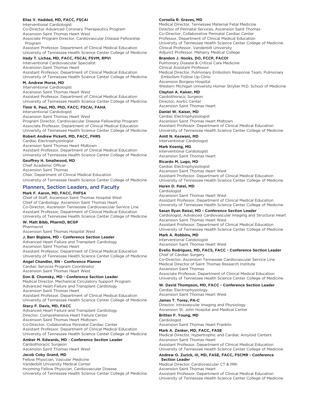#### **Elias V. Haddad, MD, FACC, FSCAI**

Interventional Cardiologist Co-Director Advanced Coronary Therapeutics Program

Ascension Saint Thomas Heart West

Associate Program Director, Cardiovascular Disease Fellowship Program

Assistant Professor, Department of Clinical Medical Education University of Tennessee Health Science Center College of Medicine

#### **Hady T. Lichaa, MD, FACC, FSCAI, FSVM, RPVI**

Interventional Cardiovascular Specialist

Ascension Saint Thomas Heart Assistant Professor, Department of Clinical Medical Education University of Tennessee Health Science Center College of Medicine

### **M. Andrew Morse, MD**

Interventional Cardiologist Ascension Saint Thomas Heart West Assistant Professor, Department of Clinical Medical Education University of Tennessee Health Science Center College of Medicine

#### **Timir K. Paul, MD, PhD, FACC, FSCAI, FAHA**

Interventional Cardiologist Ascension Saint Thomas Heart West

Program Director, Cardiovascular Disease Fellowship Program Associate Professor, Department of Clinical Medical Education University of Tennessee Health Science Center College of Medicine

#### **Robert Andrew Pickett, MD, FACC, FHRS**

Cardiac Electrophysiologist Ascension Saint Thomas Heart Midtown Assistant Professor, Department of Clinical Medical Education University of Tennessee Health Science Center College of Medicine

# **Geoffrey H. Smallwood, MD**

Chief Academic Officer Ascension Saint Thomas Chair, Department of Clinical Medical Education University of Tennessee Health Science Center College of Medicine

# Planners, Section Leaders, and Faculty

#### **Mark F. Aaron, MD, FACC, FHFSA**

Chief of Staff, Ascension Saint Thomas Hospital West Chief of Cardiology, Ascension Saint Thomas Heart Co-Director, Ascension Tennessee Cardiovascular Service Line Assistant Professor, Department of Clinical Medical Education University of Tennessee Health Science Center College of Medicine

#### **W. Matt Bibb, PharmD, BCGP**

Pharmacist Ascension Saint Thomas Hospital West

# **J. Barr Biglane, MD - Conference Section Leader**

Advanced Heart Failure and Transplant Cardiology Ascension Saint Thomas Heart Assistant Professor, Department of Clinical Medical Education University of Tennessee Health Science Center College of Medicine

#### **Angel Chandler, RN - Conference Planner**

Cardiac Services Program Coordinator Ascension Saint Thomas Heart West

#### **Don B. Chomsky, MD - Conference Section Leader**

Medical Director, Mechanical Circulatory Support Program Advanced Heart Failure and Transplant Cardiology Ascension Saint Thomas Heart

Assistant Professor, Department of Clinical Medical Education University of Tennessee Health Science Center College of Medicine

# **Stacy F. Davis, MD, FACC**

Advanced Heart Failure and Transplant Cardiology Director, Comprehensive Heart Failure Center Ascension Saint Thomas Heart Midtown Co-Director, Collaborative Perinatal Cardiac Center Assistant Professor, Department of Clinical Medical Education University of Tennessee Health Science Center College of Medicine

#### **Amber M. Edwards, MD - Conference Section Leader**

Cardiothoracic Surgeon Ascension Saint Thomas Heart West

#### **Jacob Coby Grand, MD**

Fellow Physician, Vascular Medicine Vanderbilt University Medical Center Incoming Fellow Physician, Cardiovascular Disease University of Tennessee Health Science Center College of Medicine

#### **Cornelia R. Graves, MD**

Medical Director, Tennessee Maternal Fetal Medicine Director of Perinatal Services, Ascension Saint Thomas Co-Director, Collaborative Perinatal Cardiac Center Professor, Department of Clinical Medical Education University of Tennessee Health Science Center College of Medicine Clinical Professor, Vanderbilt University Adjunct Professor, Meharry Medical College

#### **Brandon J. Hooks, DO, FCCP, FACOI**

Pulmonary Disease & Critical Care Medicine Clinical Assistant Professor Medical Director, Pulmonary Embolism Response Team, Pulmonary Embolism Follow Up Clinic Ascension Borgess Hospital Western Michigan University Homer Stryker M.D. School of Medicine

# **Clayton A. Kaiser, MD**

Cardiothoracic Surgeon Director, Aortic Center Ascension Saint Thomas Heart

#### **Daniel W. Kaiser, MD**

Cardiac Electrophysiologist Ascension Saint Thomas Heart Midtown Assistant Professor, Department of Clinical Medical Education University of Tennessee Health Science Center College of Medicine

# **Amit N. Keswani, MD**

Interventional Cardiologist

# **Mark Koenig, MD**

Interventional Cardiologist Ascension Saint Thomas Heart

#### **Ricardo M. Lugo, MD**

Cardiac Electrophysiologist Ascension Saint Thomas Heart West Assistant Professor, Department of Clinical Medical Education University of Tennessee Health Science Center College of Medicine

#### **Haren D. Patel, MD**

Cardiologist

Ascension Saint Thomas Heart West Assistant Professor, Department of Clinical Medical Education University of Tennessee Health Science Center College of Medicine

#### **Sasan Ryan Raissi, MD - Conference Section Leader**

Cardiologist, Advanced Cardiovascular Imaging and Structural Heart Ascension Saint Thomas Heart West Assistant Professor, Department of Clinical Medical Education

#### University of Tennessee Health Science Center College of Medicine **Mark A. Robbins, MD**

Interventional Cardiologist Ascension Saint Thomas Heart West

### **Evelio Rodriguez, MD, FACS, FACC - Conference Section Leader**  Chief of Cardiac Surgery

Co-Director, Ascension Tennessee Cardiovascular Service Line Medical Director of Saint Thomas Research Institute Ascension Saint Thomas Associate Professor, Department of Clinical Medical Education University of Tennessee Health Science Center College of Medicine

## **W. David Thompson, MD, FACC - Conference Section Leader**

Cardiac Electrophysiology Ascension Saint Thomas Heart West

#### **James T. Torey, PA-C**

Director, Intravascular Imaging and Physiology Ascension St. John Hospital and Medical Center

## **Britten F. Young, MD**

Cardiologist Ascension Saint Thomas Heart Franklin

## **Mark A. Zenker, MD, FACC, FASE**

Medical Director, Hypertrophic and Cardiac Amyloid Centers Ascension Saint Thomas Heart

Assistant Professor, Department of Clinical Medical Education University of Tennessee Health Science Center College of Medicine

#### **Andrew O. Zurick, III, MD, FASE, FACC, FSCMR - Conference Section Leader**

Medical Director, Cardiovascular CT & MRI Ascension Saint Thomas Heart Assistant Professor, Department of Clinical Medical Education University of Tennessee Health Science Center College of Medicine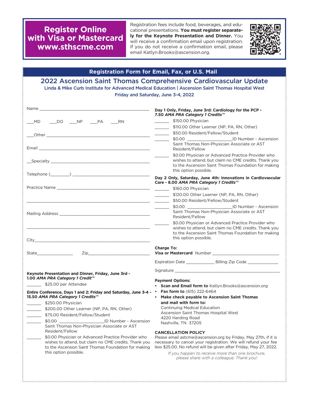**Register Online with Visa or Mastercard www.sthscme.com**

Registration fees include food, beverages, and educational presentations. **You must register separately for the Keynote Presentation and Dinner.** You will receive a confirmation email upon registration. If you do not receive a confirmation email, please email Katlyn.Brooks@ascension.org.



| <b>Registration Form for Email, Fax, or U.S. Mail</b>                                                                                                                                                                                                                                                                                                                                                                                                                                                                                                                                                                                                             |                                                                                                                                                                                                                                                                                                                                                                                                                                                                                                                                                                                                                                                                                                                                                                                                                                                                                                                                                                                                                                                                                                                                                                                                                                |  |  |  |
|-------------------------------------------------------------------------------------------------------------------------------------------------------------------------------------------------------------------------------------------------------------------------------------------------------------------------------------------------------------------------------------------------------------------------------------------------------------------------------------------------------------------------------------------------------------------------------------------------------------------------------------------------------------------|--------------------------------------------------------------------------------------------------------------------------------------------------------------------------------------------------------------------------------------------------------------------------------------------------------------------------------------------------------------------------------------------------------------------------------------------------------------------------------------------------------------------------------------------------------------------------------------------------------------------------------------------------------------------------------------------------------------------------------------------------------------------------------------------------------------------------------------------------------------------------------------------------------------------------------------------------------------------------------------------------------------------------------------------------------------------------------------------------------------------------------------------------------------------------------------------------------------------------------|--|--|--|
| 2022 Ascension Saint Thomas Comprehensive Cardiovascular Update<br>Linda & Mike Curb Institute for Advanced Medical Education   Ascension Saint Thomas Hospital West<br>Friday and Saturday, June 3-4, 2022                                                                                                                                                                                                                                                                                                                                                                                                                                                       |                                                                                                                                                                                                                                                                                                                                                                                                                                                                                                                                                                                                                                                                                                                                                                                                                                                                                                                                                                                                                                                                                                                                                                                                                                |  |  |  |
| ___MD ____DO ____NP ____PA ____RN                                                                                                                                                                                                                                                                                                                                                                                                                                                                                                                                                                                                                                 | Day 1 Only, Friday, June 3rd: Cardiology for the PCP -<br>7.50 AMA PRA Category 1 Credits™<br>\$150.00 Physician<br><u> Albanya di Barat di Barat di Barat di Barat di Barat di Barat di Barat di Barat di Barat di Barat di Barat di Barat di Barat di Barat di Barat di Barat di Barat di Barat di Barat di Barat di Barat di Barat di Barat di Ba</u><br>\$110.00 Other Learner (NP, PA, RN, Other)<br>$\overline{\phantom{a}}$<br>\$50.00 Resident/Fellow/Student<br>$\frac{1}{2} \left( \frac{1}{2} \right) \left( \frac{1}{2} \right) \left( \frac{1}{2} \right) \left( \frac{1}{2} \right) \left( \frac{1}{2} \right) \left( \frac{1}{2} \right) \left( \frac{1}{2} \right) \left( \frac{1}{2} \right) \left( \frac{1}{2} \right) \left( \frac{1}{2} \right) \left( \frac{1}{2} \right) \left( \frac{1}{2} \right) \left( \frac{1}{2} \right) \left( \frac{1}{2} \right) \left( \frac{1}{2} \right) \left( \frac{1}{2} \right) \left( \frac$<br>$\sim$<br>Saint Thomas Non-Physician Associate or AST<br>Resident/Fellow<br>\$0.00 Physician or Advanced Practice Provider who<br>wishes to attend, but claim no CME credits. Thank you<br>to the Ascension Saint Thomas Foundation for making<br>this option possible. |  |  |  |
|                                                                                                                                                                                                                                                                                                                                                                                                                                                                                                                                                                                                                                                                   |                                                                                                                                                                                                                                                                                                                                                                                                                                                                                                                                                                                                                                                                                                                                                                                                                                                                                                                                                                                                                                                                                                                                                                                                                                |  |  |  |
| $\begin{picture}(150,10) \put(0,0){\vector(1,0){100}} \put(15,0){\vector(1,0){100}} \put(15,0){\vector(1,0){100}} \put(15,0){\vector(1,0){100}} \put(15,0){\vector(1,0){100}} \put(15,0){\vector(1,0){100}} \put(15,0){\vector(1,0){100}} \put(15,0){\vector(1,0){100}} \put(15,0){\vector(1,0){100}} \put(15,0){\vector(1,0){100}} \put(15,0){\vector(1,0){100}}$                                                                                                                                                                                                                                                                                                | Day 2 Only, Saturday, June 4th: Innovations in Cardiovascular<br>Care - 8.00 AMA PRA Category 1 Credits™<br>\$160.00 Physician<br>\$120.00 Other Learner (NP, PA, RN, Other)<br><u>and the state</u><br>\$50.00 Resident/Fellow/Student<br>$\frac{1}{2}$ and $\frac{1}{2}$ . The set of $\mathcal{O}(\mathbb{R}^2)$<br>\$0.00 <u>  [D</u> Number - Ascension<br>$\overline{\phantom{a}}$                                                                                                                                                                                                                                                                                                                                                                                                                                                                                                                                                                                                                                                                                                                                                                                                                                       |  |  |  |
| <u> 1989 - Johann Stoff, deutscher Stoff, der Stoff, der Stoff, der Stoff, der Stoff, der Stoff, der Stoff, der S</u>                                                                                                                                                                                                                                                                                                                                                                                                                                                                                                                                             | Saint Thomas Non-Physician Associate or AST<br>Resident/Fellow<br>\$0.00 Physician or Advanced Practice Provider who<br>wishes to attend, but claim no CME credits. Thank you<br>to the Ascension Saint Thomas Foundation for making<br>this option possible.                                                                                                                                                                                                                                                                                                                                                                                                                                                                                                                                                                                                                                                                                                                                                                                                                                                                                                                                                                  |  |  |  |
|                                                                                                                                                                                                                                                                                                                                                                                                                                                                                                                                                                                                                                                                   | <b>Charge To:</b><br>Expiration Date ________________ Billing Zip Code ______________                                                                                                                                                                                                                                                                                                                                                                                                                                                                                                                                                                                                                                                                                                                                                                                                                                                                                                                                                                                                                                                                                                                                          |  |  |  |
| Keynote Presentation and Dinner, Friday, June 3rd -<br>1.00 AMA PRA Category 1 Credit™<br>\$25.00 per Attendee<br>Entire Conference, Days 1 and 2: Friday and Saturday, June 3-4 - • Fax form to (615) 222-6464<br>15.50 AMA PRA Category 1 Credits''"<br>\$250.00 Physician<br>\$200.00 Other Learner (NP, PA, RN, Other)<br>\$75.00 Resident/Fellow/Student<br>\$0.00<br>ID Number - Ascension<br>Saint Thomas Non-Physician Associate or AST<br>Resident/Fellow<br>\$0.00 Physician or Advanced Practice Provider who<br>wishes to attend, but claim no CME credits. Thank you<br>to the Ascension Saint Thomas Foundation for making<br>this option possible. | Signature and the state of the state of the state of the state of the state of the state of the state of the state of the state of the state of the state of the state of the state of the state of the state of the state of<br><b>Payment Options:</b><br>• Scan and Email form to Katlyn.Brooks@ascension.org<br>Make check payable to Ascension Saint Thomas<br>and mail with form to:<br><b>Continuing Medical Education</b><br>Ascension Saint Thomas Hospital West<br>4220 Harding Road<br>Nashville, TN 37205<br><b>CANCELLATION POLICY</b><br>Please email astcme@ascension.org by Friday, May 27th, if it is<br>necessary to cancel your registration. We will refund your fee<br>less \$25.00. No refund will be given after Friday, May 27, 2022.<br>If you happen to receive more than one brochure,<br>please share with a colleague. Thank you!                                                                                                                                                                                                                                                                                                                                                                 |  |  |  |